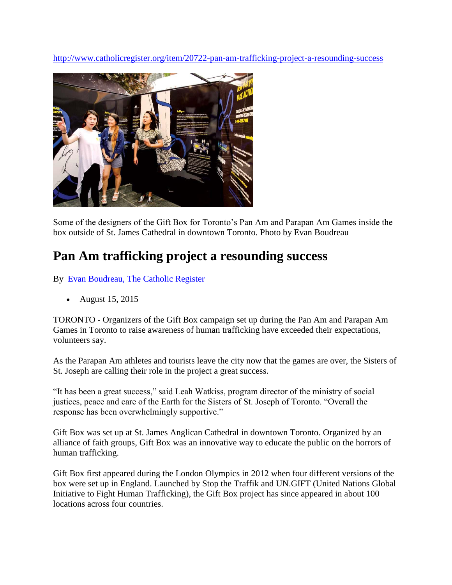<http://www.catholicregister.org/item/20722-pan-am-trafficking-project-a-resounding-success>



Some of the designers of the Gift Box for Toronto's Pan Am and Parapan Am Games inside the box outside of St. James Cathedral in downtown Toronto. Photo by Evan Boudreau

## **Pan Am trafficking project a resounding success**

By [Evan Boudreau, The Catholic Register](http://www.catholicregister.org/evan-boudreau)

August 15, 2015

TORONTO - Organizers of the Gift Box campaign set up during the Pan Am and Parapan Am Games in Toronto to raise awareness of human trafficking have exceeded their expectations, volunteers say.

As the Parapan Am athletes and tourists leave the city now that the games are over, the Sisters of St. Joseph are calling their role in the project a great success.

"It has been a great success," said Leah Watkiss, program director of the ministry of social justices, peace and care of the Earth for the Sisters of St. Joseph of Toronto. "Overall the response has been overwhelmingly supportive."

Gift Box was set up at St. James Anglican Cathedral in downtown Toronto. Organized by an alliance of faith groups, Gift Box was an innovative way to educate the public on the horrors of human trafficking.

Gift Box first appeared during the London Olympics in 2012 when four different versions of the box were set up in England. Launched by Stop the Traffik and UN.GIFT (United Nations Global Initiative to Fight Human Trafficking), the Gift Box project has since appeared in about 100 locations across four countries.